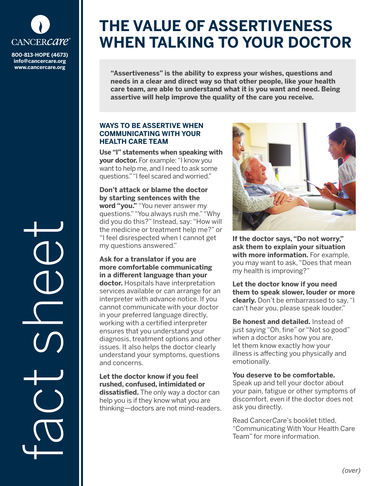

**800-813-HOPE (4673) info@cancercare.org www.cancercare.org**

# **THE VALUE OF ASSERTIVENESS WHEN TALKING TO YOUR DOCTOR**

**"Assertiveness" is the ability to express your wishes, questions and needs in a clear and direct way so that other people, like your health care team, are able to understand what it is you want and need. Being assertive will help improve the quality of the care you receive.**

### **WAYS TO BE ASSERTIVE WHEN COMMUNICATING WITH YOUR HEALTH CARE TEAM**

**Use "I" statements when speaking with your doctor.** For example: "I know you want to help me, and I need to ask some questions." "I feel scared and worried."

**Don't attack or blame the doctor by starting sentences with the word "you."** "You never answer my questions." "You always rush me." "Why did you do this?" Instead, say: "How will the medicine or treatment help me?" or "I feel disrespected when I cannot get my questions answered."

**Ask for a translator if you are more comfortable communicating in a different language than your doctor.** Hospitals have interpretation services available or can arrange for an interpreter with advance notice. If you cannot communicate with your doctor in your preferred language directly, working with a certified interpreter ensures that you understand your diagnosis, treatment options and other issues. It also helps the doctor clearly understand your symptoms, questions and concerns.

**Let the doctor know if you feel rushed, confused, intimidated or dissatisfied.** The only way a doctor can help you is if they know what you are thinking—doctors are not mind-readers.



**If the doctor says, "Do not worry," ask them to explain your situation with more information.** For example, you may want to ask, "Does that mean my health is improving?"

**Let the doctor know if you need them to speak slower, louder or more clearly.** Don't be embarrassed to say, "I can't hear you, please speak louder."

**Be honest and detailed.** Instead of just saying "Oh, fine" or "Not so good" when a doctor asks how you are, let them know exactly how your illness is affecting you physically and emotionally.

#### **You deserve to be comfortable.**

Speak up and tell your doctor about your pain, fatigue or other symptoms of discomfort, even if the doctor does not ask you directly.

Read Cancer*Care*'s booklet titled, "Communicating With Your Health Care Team" for more information.

fact se